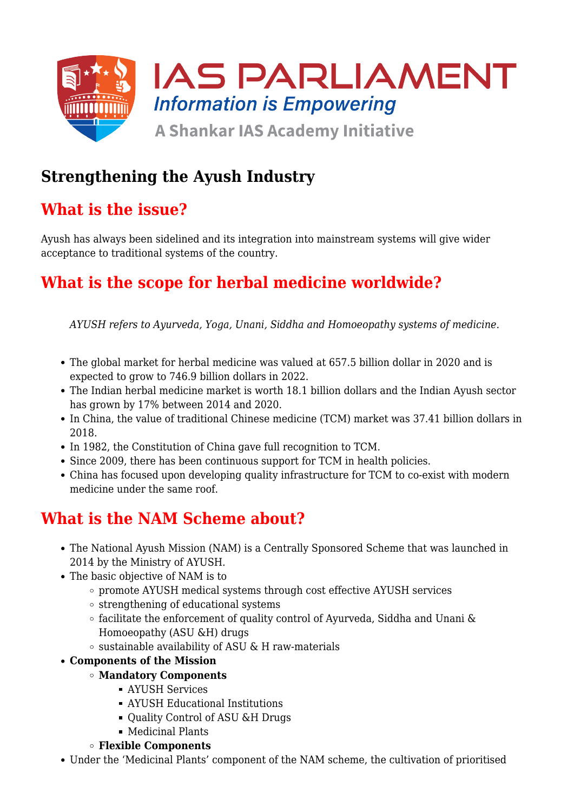

# **Strengthening the Ayush Industry**

# **What is the issue?**

Ayush has always been sidelined and its integration into mainstream systems will give wider acceptance to traditional systems of the country.

# **What is the scope for herbal medicine worldwide?**

*AYUSH refers to Ayurveda, Yoga, Unani, Siddha and Homoeopathy systems of medicine.*

- The global market for herbal medicine was valued at 657.5 billion dollar in 2020 and is expected to grow to 746.9 billion dollars in 2022.
- The Indian herbal medicine market is worth 18.1 billion dollars and the Indian Ayush sector has grown by 17% between 2014 and 2020.
- In China, the value of traditional Chinese medicine (TCM) market was 37.41 billion dollars in 2018.
- In 1982, the Constitution of China gave full recognition to TCM.
- Since 2009, there has been continuous support for TCM in health policies.
- China has focused upon developing quality infrastructure for TCM to co-exist with modern medicine under the same roof.

### **What is the NAM Scheme about?**

- The National Ayush Mission (NAM) is a Centrally Sponsored Scheme that was launched in 2014 by the Ministry of AYUSH.
- The basic objective of NAM is to
	- promote AYUSH medical systems through cost effective AYUSH services
	- strengthening of educational systems
	- $\circ$  facilitate the enforcement of quality control of Ayurveda, Siddha and Unani & Homoeopathy (ASU &H) drugs
	- $\circ$  sustainable availability of ASU & H raw-materials
- **Components of the Mission**
	- **Mandatory Components**
		- AYUSH Services
		- AYUSH Educational Institutions
		- Ouality Control of ASU &H Drugs
		- Medicinal Plants
	- **Flexible Components**
- Under the 'Medicinal Plants' component of the NAM scheme, the cultivation of prioritised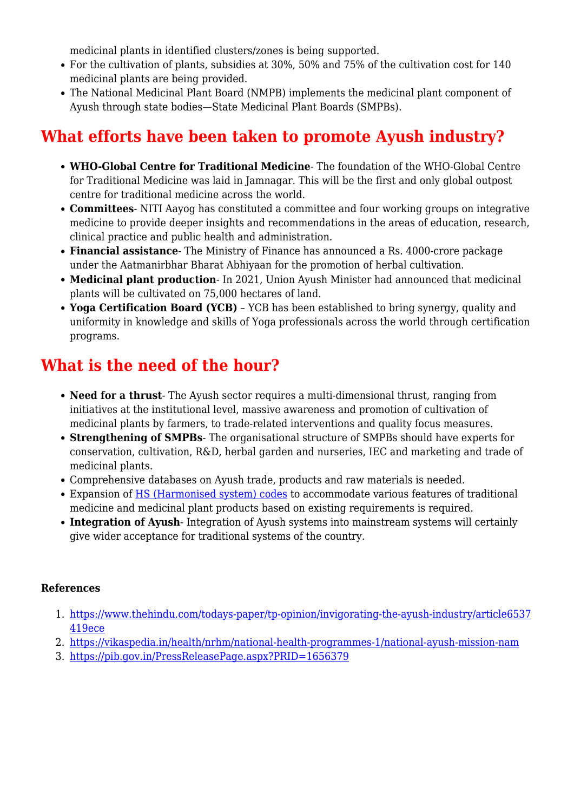medicinal plants in identified clusters/zones is being supported.

- For the cultivation of plants, subsidies at 30%, 50% and 75% of the cultivation cost for 140 medicinal plants are being provided.
- The National Medicinal Plant Board (NMPB) implements the medicinal plant component of Ayush through state bodies—State Medicinal Plant Boards (SMPBs).

# **What efforts have been taken to promote Ayush industry?**

- **WHO-Global Centre for Traditional Medicine** The foundation of the WHO-Global Centre for Traditional Medicine was laid in Jamnagar. This will be the first and only global outpost centre for traditional medicine across the world.
- **Committees** NITI Aayog has constituted a committee and four working groups on integrative medicine to provide deeper insights and recommendations in the areas of education, research, clinical practice and public health and administration.
- **Financial assistance** The Ministry of Finance has announced a Rs. 4000-crore package under the Aatmanirbhar Bharat Abhiyaan for the promotion of herbal cultivation.
- **Medicinal plant production** In 2021, Union Ayush Minister had announced that medicinal plants will be cultivated on 75,000 hectares of land.
- **Yoga Certification Board (YCB)** YCB has been established to bring synergy, quality and uniformity in knowledge and skills of Yoga professionals across the world through certification programs.

# **What is the need of the hour?**

- **Need for a thrust** The Ayush sector requires a multi-dimensional thrust, ranging from initiatives at the institutional level, massive awareness and promotion of cultivation of medicinal plants by farmers, to trade-related interventions and quality focus measures.
- **Strengthening of SMPBs** The organisational structure of SMPBs should have experts for conservation, cultivation, R&D, herbal garden and nurseries, IEC and marketing and trade of medicinal plants.
- Comprehensive databases on Ayush trade, products and raw materials is needed.
- Expansion of [HS \(Harmonised system\) codes](https://www.iasparliament.com/prestorming/quiz/answer/8323) to accommodate various features of traditional medicine and medicinal plant products based on existing requirements is required.
- **Integration of Ayush** Integration of Ayush systems into mainstream systems will certainly give wider acceptance for traditional systems of the country.

#### **References**

- 1. [https://www.thehindu.com/todays-paper/tp-opinion/invigorating-the-ayush-industry/article6537](https://www.thehindu.com/todays-paper/tp-opinion/invigorating-the-ayush-industry/article65374191.ece) [419ece](https://www.thehindu.com/todays-paper/tp-opinion/invigorating-the-ayush-industry/article65374191.ece)
- 2. <https://vikaspedia.in/health/nrhm/national-health-programmes-1/national-ayush-mission-nam>
- 3. <https://pib.gov.in/PressReleasePage.aspx?PRID=1656379>